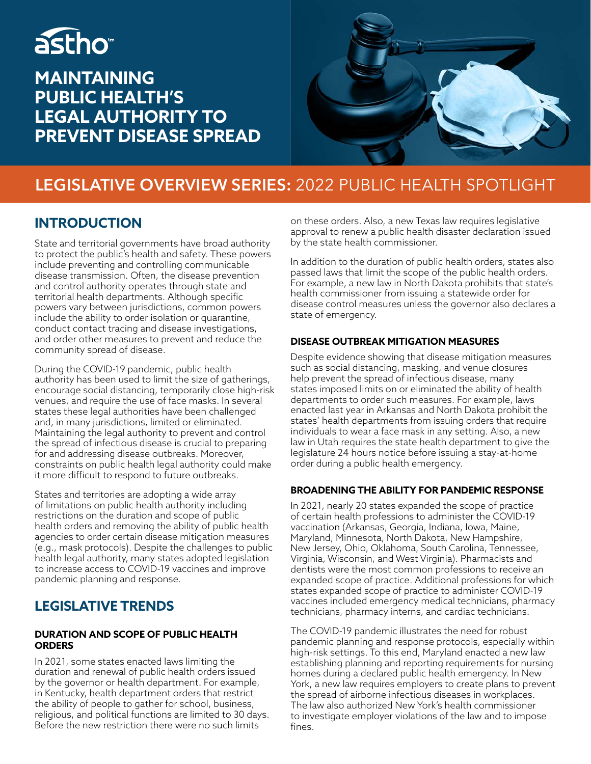# astho<sup>®</sup>

## **MAINTAINING PUBLIC HEALTH'S LEGAL AUTHORITY TO PREVENT DISEASE SPREAD**



## **LEGISLATIVE OVERVIEW SERIES:** 2022 PUBLIC HEALTH SPOTLIGHT

### **INTRODUCTION**

State and territorial governments have broad authority to protect the public's health and safety. These powers include preventing and controlling communicable disease transmission. Often, the disease prevention and control authority operates through state and territorial health departments. Although specific powers vary between jurisdictions, common powers include the ability to order isolation or quarantine, conduct contact tracing and disease investigations, and order other measures to prevent and reduce the community spread of disease.

During the COVID-19 pandemic, public health authority has been used to limit the size of gatherings, encourage social distancing, temporarily close high-risk venues, and require the use of face masks. In several states these legal authorities have been challenged and, in many jurisdictions, limited or eliminated. Maintaining the legal authority to prevent and control the spread of infectious disease is crucial to preparing for and addressing disease outbreaks. Moreover, constraints on public health legal authority could make it more difficult to respond to future outbreaks.

States and territories are adopting a wide array of limitations on public health authority including restrictions on the duration and scope of public health orders and removing the ability of public health agencies to order certain disease mitigation measures (e.g., mask protocols). Despite the challenges to public health legal authority, many states adopted legislation to increase access to COVID-19 vaccines and improve pandemic planning and response.

## **LEGISLATIVE TRENDS**

#### **DURATION AND SCOPE OF PUBLIC HEALTH ORDERS**

In 2021, some states enacted laws limiting the duration and renewal of public health orders issued by the governor or health department. For example, in Kentucky, health department orders that restrict the ability of people to gather for school, business, religious, and political functions are limited to 30 days. Before the new restriction there were no such limits

on these orders. Also, a new Texas law requires legislative approval to renew a public health disaster declaration issued by the state health commissioner.

In addition to the duration of public health orders, states also passed laws that limit the scope of the public health orders. For example, a new law in North Dakota prohibits that state's health commissioner from issuing a statewide order for disease control measures unless the governor also declares a state of emergency.

#### **DISEASE OUTBREAK MITIGATION MEASURES**

Despite evidence showing that disease mitigation measures such as social distancing, masking, and venue closures help prevent the spread of infectious disease, many states imposed limits on or eliminated the ability of health departments to order such measures. For example, laws enacted last year in Arkansas and North Dakota prohibit the states' health departments from issuing orders that require individuals to wear a face mask in any setting. Also, a new law in Utah requires the state health department to give the legislature 24 hours notice before issuing a stay-at-home order during a public health emergency.

#### **BROADENING THE ABILITY FOR PANDEMIC RESPONSE**

In 2021, nearly 20 states expanded the scope of practice of certain health professions to administer the COVID-19 vaccination (Arkansas, Georgia, Indiana, Iowa, Maine, Maryland, Minnesota, North Dakota, New Hampshire, New Jersey, Ohio, Oklahoma, South Carolina, Tennessee, Virginia, Wisconsin, and West Virginia). Pharmacists and dentists were the most common professions to receive an expanded scope of practice. Additional professions for which states expanded scope of practice to administer COVID-19 vaccines included emergency medical technicians, pharmacy technicians, pharmacy interns, and cardiac technicians.

The COVID-19 pandemic illustrates the need for robust pandemic planning and response protocols, especially within high-risk settings. To this end, Maryland enacted a new law establishing planning and reporting requirements for nursing homes during a declared public health emergency. In New York, a new law requires employers to create plans to prevent the spread of airborne infectious diseases in workplaces. The law also authorized New York's health commissioner to investigate employer violations of the law and to impose fines.